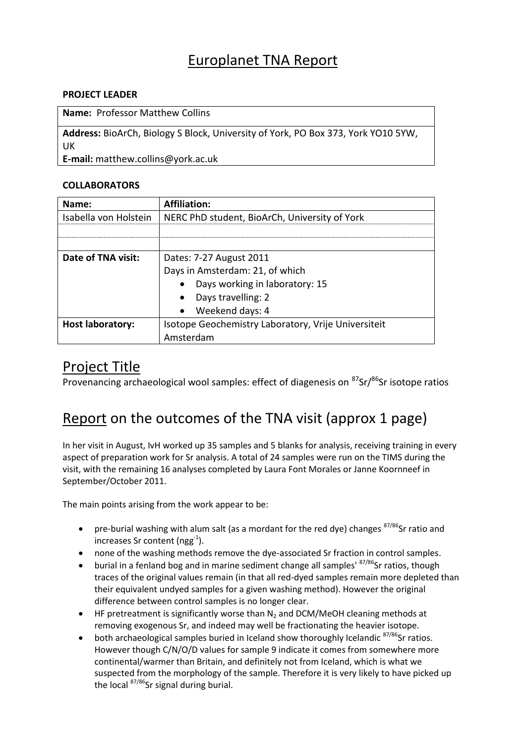### Europlanet TNA Report

#### **PROJECT LEADER**

**Name:** Professor Matthew Collins

**Address:** BioArCh, Biology S Block, University of York, PO Box 373, York YO10 5YW, UK

**E-mail:** matthew.collins@york.ac.uk

#### **COLLABORATORS**

| Name:                   | <b>Affiliation:</b>                                 |
|-------------------------|-----------------------------------------------------|
| Isabella von Holstein   | NERC PhD student, BioArCh, University of York       |
|                         |                                                     |
|                         |                                                     |
| Date of TNA visit:      | Dates: 7-27 August 2011                             |
|                         | Days in Amsterdam: 21, of which                     |
|                         | Days working in laboratory: 15                      |
|                         | Days travelling: 2<br>$\bullet$                     |
|                         | Weekend days: 4<br>$\bullet$                        |
| <b>Host laboratory:</b> | Isotope Geochemistry Laboratory, Vrije Universiteit |
|                         | Amsterdam                                           |

### Project Title

Provenancing archaeological wool samples: effect of diagenesis on <sup>87</sup>Sr/<sup>86</sup>Sr isotope ratios

## Report on the outcomes of the TNA visit (approx 1 page)

In her visit in August, IvH worked up 35 samples and 5 blanks for analysis, receiving training in every aspect of preparation work for Sr analysis. A total of 24 samples were run on the TIMS during the visit, with the remaining 16 analyses completed by Laura Font Morales or Janne Koornneef in September/October 2011.

The main points arising from the work appear to be:

- pre-burial washing with alum salt (as a mordant for the red dye) changes  $87/86$ Sr ratio and increases Sr content (ngg $^{-1}$ ).
- none of the washing methods remove the dye-associated Sr fraction in control samples.
- $\bullet$  burial in a fenland bog and in marine sediment change all samples'  $87/86$ Sr ratios, though traces of the original values remain (in that all red-dyed samples remain more depleted than their equivalent undyed samples for a given washing method). However the original difference between control samples is no longer clear.
- $\bullet$  HF pretreatment is significantly worse than N<sub>2</sub> and DCM/MeOH cleaning methods at removing exogenous Sr, and indeed may well be fractionating the heavier isotope.
- both archaeological samples buried in Iceland show thoroughly Icelandic  $87/86$ Sr ratios. However though C/N/O/D values for sample 9 indicate it comes from somewhere more continental/warmer than Britain, and definitely not from Iceland, which is what we suspected from the morphology of the sample. Therefore it is very likely to have picked up the local <sup>87/86</sup>Sr signal during burial.